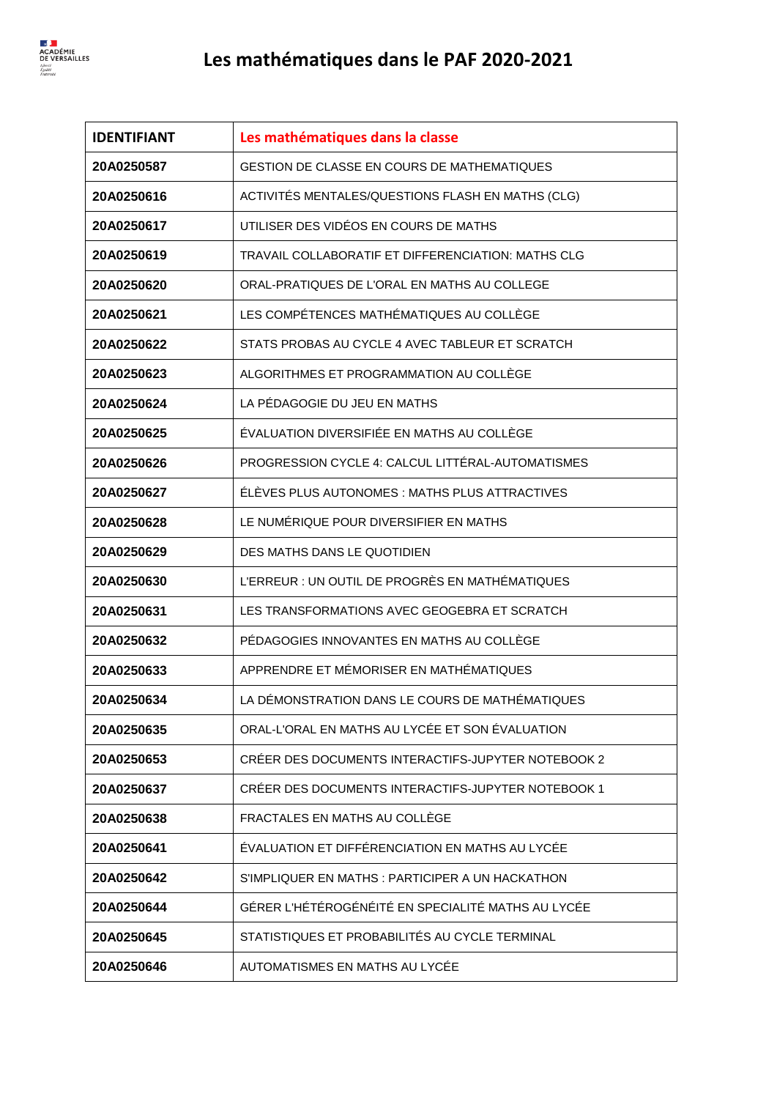

| <b>IDENTIFIANT</b> | Les mathématiques dans la classe                   |
|--------------------|----------------------------------------------------|
| 20A0250587         | <b>GESTION DE CLASSE EN COURS DE MATHEMATIQUES</b> |
| 20A0250616         | ACTIVITÉS MENTALES/QUESTIONS FLASH EN MATHS (CLG)  |
| 20A0250617         | UTILISER DES VIDÉOS EN COURS DE MATHS              |
| 20A0250619         | TRAVAIL COLLABORATIF ET DIFFERENCIATION: MATHS CLG |
| 20A0250620         | ORAL-PRATIQUES DE L'ORAL EN MATHS AU COLLEGE       |
| 20A0250621         | LES COMPÉTENCES MATHÉMATIQUES AU COLLÈGE           |
| 20A0250622         | STATS PROBAS AU CYCLE 4 AVEC TABLEUR ET SCRATCH    |
| 20A0250623         | ALGORITHMES ET PROGRAMMATION AU COLLÉGE            |
| 20A0250624         | LA PÉDAGOGIE DU JEU EN MATHS                       |
| 20A0250625         | ÉVALUATION DIVERSIFIÉE EN MATHS AU COLLÈGE         |
| 20A0250626         | PROGRESSION CYCLE 4: CALCUL LITTÉRAL-AUTOMATISMES  |
| 20A0250627         | ÉLÉVES PLUS AUTONOMES : MATHS PLUS ATTRACTIVES     |
| 20A0250628         | LE NUMÉRIQUE POUR DIVERSIFIER EN MATHS             |
| 20A0250629         | DES MATHS DANS LE QUOTIDIEN                        |
| 20A0250630         | L'ERREUR : UN OUTIL DE PROGRÈS EN MATHÉMATIQUES    |
| 20A0250631         | LES TRANSFORMATIONS AVEC GEOGEBRA ET SCRATCH       |
| 20A0250632         | PÉDAGOGIES INNOVANTES EN MATHS AU COLLÈGE          |
| 20A0250633         | APPRENDRE ET MÉMORISER EN MATHÉMATIQUES            |
| 20A0250634         | LA DÉMONSTRATION DANS LE COURS DE MATHÉMATIQUES    |
| 20A0250635         | ORAL-L'ORAL EN MATHS AU LYCÉE ET SON ÉVALUATION    |
| 20A0250653         | CRÉER DES DOCUMENTS INTERACTIFS-JUPYTER NOTEBOOK 2 |
| 20A0250637         | CRÉER DES DOCUMENTS INTERACTIFS-JUPYTER NOTEBOOK 1 |
| 20A0250638         | FRACTALES EN MATHS AU COLLÈGE                      |
| 20A0250641         | ÉVALUATION ET DIFFÉRENCIATION EN MATHS AU LYCÉE    |
| 20A0250642         | S'IMPLIQUER EN MATHS : PARTICIPER A UN HACKATHON   |
| 20A0250644         | GÉRER L'HÉTÉROGÉNÉITÉ EN SPECIALITÉ MATHS AU LYCÉE |
| 20A0250645         | STATISTIQUES ET PROBABILITÉS AU CYCLE TERMINAL     |
| 20A0250646         | AUTOMATISMES EN MATHS AU LYCÉE                     |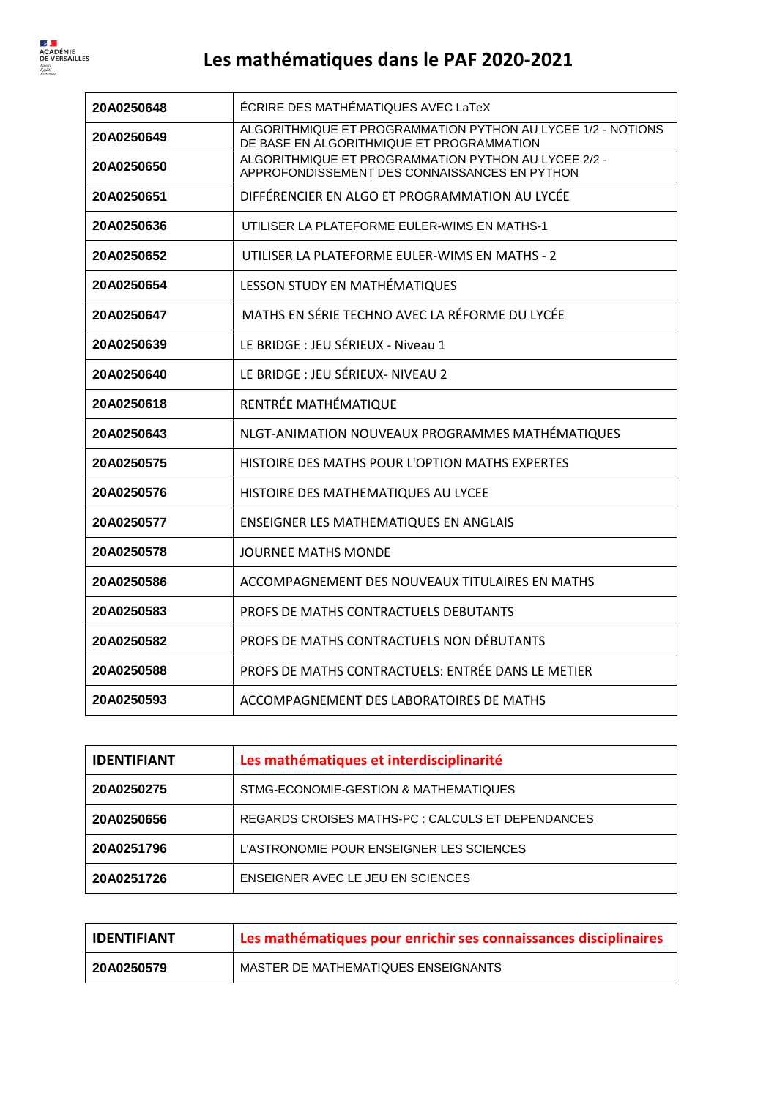| 20A0250648 | ÉCRIRE DES MATHÉMATIQUES AVEC LaTeX                                                                       |
|------------|-----------------------------------------------------------------------------------------------------------|
| 20A0250649 | ALGORITHMIQUE ET PROGRAMMATION PYTHON AU LYCEE 1/2 - NOTIONS<br>DE BASE EN ALGORITHMIQUE ET PROGRAMMATION |
| 20A0250650 | ALGORITHMIQUE ET PROGRAMMATION PYTHON AU LYCEE 2/2 -<br>APPROFONDISSEMENT DES CONNAISSANCES EN PYTHON     |
| 20A0250651 | DIFFÉRENCIER EN ALGO ET PROGRAMMATION AU LYCÉE                                                            |
| 20A0250636 | UTILISER LA PLATEFORME EULER-WIMS EN MATHS-1                                                              |
| 20A0250652 | UTILISER LA PLATEFORME EULER-WIMS EN MATHS - 2                                                            |
| 20A0250654 | LESSON STUDY EN MATHÉMATIQUES                                                                             |
| 20A0250647 | MATHS EN SÉRIE TECHNO AVEC LA RÉFORME DU LYCÉE                                                            |
| 20A0250639 | LE BRIDGE : JEU SÉRIEUX - Niveau 1                                                                        |
| 20A0250640 | LE BRIDGE : JEU SÉRIEUX- NIVEAU 2                                                                         |
| 20A0250618 | RENTRÉE MATHÉMATIQUE                                                                                      |
| 20A0250643 | NLGT-ANIMATION NOUVEAUX PROGRAMMES MATHÉMATIQUES                                                          |
| 20A0250575 | HISTOIRE DES MATHS POUR L'OPTION MATHS EXPERTES                                                           |
| 20A0250576 | HISTOIRE DES MATHEMATIQUES AU LYCEE                                                                       |
| 20A0250577 | <b>ENSEIGNER LES MATHEMATIQUES EN ANGLAIS</b>                                                             |
| 20A0250578 | <b>JOURNEE MATHS MONDE</b>                                                                                |
| 20A0250586 | ACCOMPAGNEMENT DES NOUVEAUX TITULAIRES EN MATHS                                                           |
| 20A0250583 | PROFS DE MATHS CONTRACTUELS DEBUTANTS                                                                     |
| 20A0250582 | PROFS DE MATHS CONTRACTUELS NON DÉBUTANTS                                                                 |
| 20A0250588 | PROFS DE MATHS CONTRACTUELS: ENTRÉE DANS LE METIER                                                        |
| 20A0250593 | ACCOMPAGNEMENT DES LABORATOIRES DE MATHS                                                                  |

| <b>IDENTIFIANT</b> | Les mathématiques et interdisciplinarité          |
|--------------------|---------------------------------------------------|
| 20A0250275         | STMG-ECONOMIE-GESTION & MATHEMATIQUES             |
| 20A0250656         | REGARDS CROISES MATHS-PC : CALCULS ET DEPENDANCES |
| 20A0251796         | L'ASTRONOMIE POUR ENSEIGNER LES SCIENCES          |
| 20A0251726         | ENSEIGNER AVEC LE JEU EN SCIENCES                 |

| <b>IDENTIFIANT</b> | Les mathématiques pour enrichir ses connaissances disciplinaires |
|--------------------|------------------------------------------------------------------|
| 20A0250579         | MASTER DE MATHEMATIQUES ENSEIGNANTS                              |